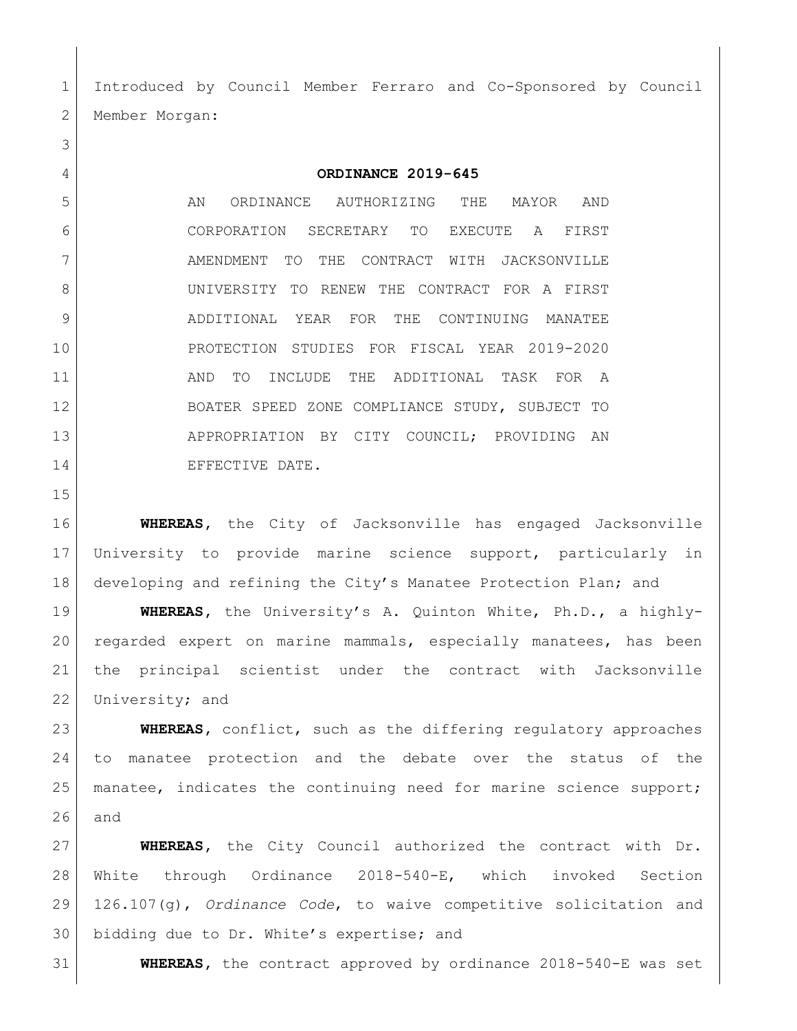Introduced by Council Member Ferraro and Co-Sponsored by Council 2 | Member Morgan:

**ORDINANCE 2019-645**

5 AN ORDINANCE AUTHORIZING THE MAYOR AND CORPORATION SECRETARY TO EXECUTE A FIRST 7 AMENDMENT TO THE CONTRACT WITH JACKSONVILLE UNIVERSITY TO RENEW THE CONTRACT FOR A FIRST ADDITIONAL YEAR FOR THE CONTINUING MANATEE PROTECTION STUDIES FOR FISCAL YEAR 2019-2020 11 | AND TO INCLUDE THE ADDITIONAL TASK FOR A BOATER SPEED ZONE COMPLIANCE STUDY, SUBJECT TO 13 APPROPRIATION BY CITY COUNCIL; PROVIDING AN 14 EFFECTIVE DATE.

 **WHEREAS,** the City of Jacksonville has engaged Jacksonville University to provide marine science support, particularly in developing and refining the City's Manatee Protection Plan; and

 **WHEREAS,** the University's A. Quinton White, Ph.D., a highly- regarded expert on marine mammals, especially manatees, has been the principal scientist under the contract with Jacksonville 22 University; and

 **WHEREAS,** conflict, such as the differing regulatory approaches to manatee protection and the debate over the status of the 25 | manatee, indicates the continuing need for marine science support; and

 **WHEREAS,** the City Council authorized the contract with Dr. White through Ordinance 2018-540-E, which invoked Section 126.107(g), *Ordinance Code*, to waive competitive solicitation and bidding due to Dr. White's expertise; and

**WHEREAS,** the contract approved by ordinance 2018-540-E was set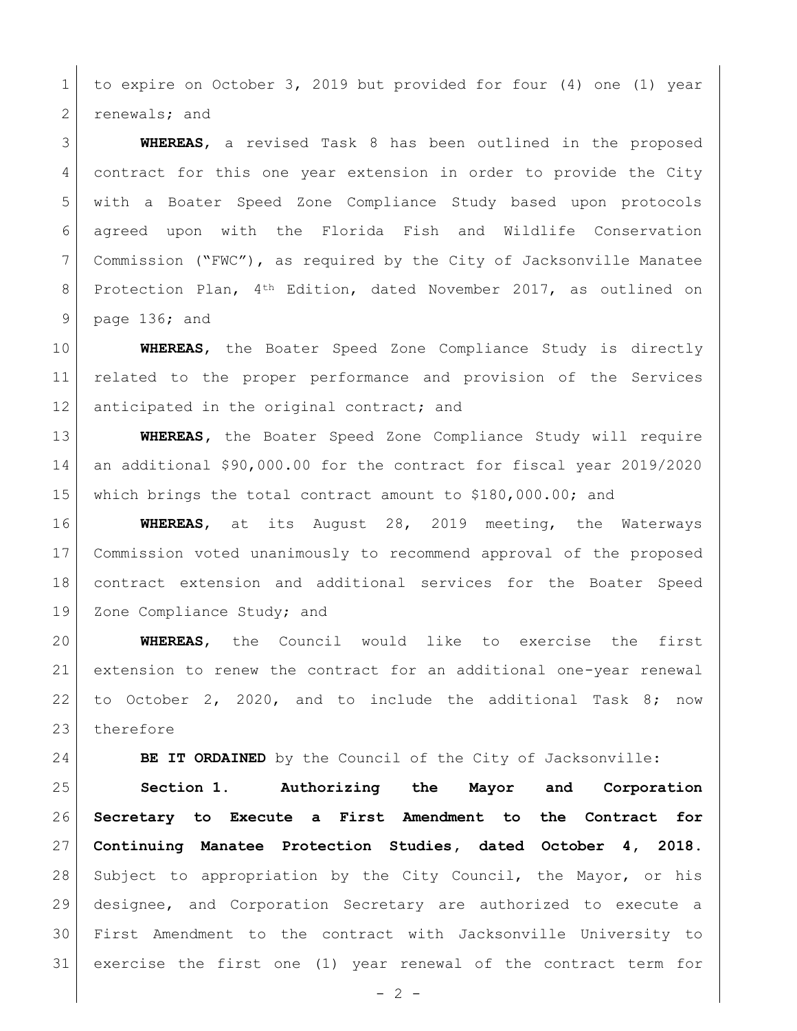to expire on October 3, 2019 but provided for four (4) one (1) year 2 renewals; and

 **WHEREAS**, a revised Task 8 has been outlined in the proposed contract for this one year extension in order to provide the City with a Boater Speed Zone Compliance Study based upon protocols agreed upon with the Florida Fish and Wildlife Conservation Commission ("FWC"), as required by the City of Jacksonville Manatee 8 | Protection Plan, 4<sup>th</sup> Edition, dated November 2017, as outlined on page 136; and

 **WHEREAS**, the Boater Speed Zone Compliance Study is directly related to the proper performance and provision of the Services 12 anticipated in the original contract; and

 **WHEREAS,** the Boater Speed Zone Compliance Study will require an additional \$90,000.00 for the contract for fiscal year 2019/2020 which brings the total contract amount to \$180,000.00; and

 **WHEREAS**, at its August 28, 2019 meeting, the Waterways Commission voted unanimously to recommend approval of the proposed contract extension and additional services for the Boater Speed 19 | Zone Compliance Study; and

 **WHEREAS**, the Council would like to exercise the first extension to renew the contract for an additional one-year renewal to October 2, 2020, and to include the additional Task 8; now 23 therefore

**BE IT ORDAINED** by the Council of the City of Jacksonville:

 **Section 1. Authorizing the Mayor and Corporation Secretary to Execute a First Amendment to the Contract for Continuing Manatee Protection Studies, dated October 4, 2018.** Subject to appropriation by the City Council, the Mayor, or his designee, and Corporation Secretary are authorized to execute a First Amendment to the contract with Jacksonville University to exercise the first one (1) year renewal of the contract term for

 $-2 -$